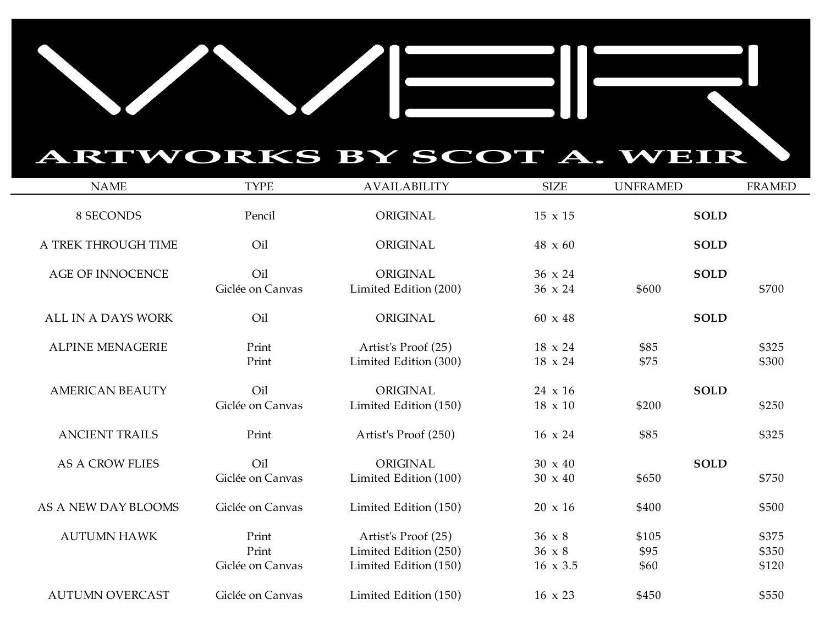## ARTWORKS BY SCOT A. WEIR

| <b>NAME</b>             | <b>TYPE</b>                        | <b>AVAILABILITY</b>                                                   | <b>SIZE</b>                                       | <b>UNFRAMED</b>       | <b>FRAMED</b>           |
|-------------------------|------------------------------------|-----------------------------------------------------------------------|---------------------------------------------------|-----------------------|-------------------------|
| 8 SECONDS               | Pencil                             | ORIGINAL                                                              | $15 \times 15$                                    | <b>SOLD</b>           |                         |
| A TREK THROUGH TIME     | Oil                                | ORIGINAL                                                              | $48 \times 60$                                    | <b>SOLD</b>           |                         |
| <b>AGE OF INNOCENCE</b> | Oil<br>Giclée on Canvas            | ORIGINAL<br>Limited Edition (200)                                     | $36 \times 24$<br>36 x 24                         | <b>SOLD</b><br>\$600  | \$700                   |
| ALL IN A DAYS WORK      | Oil                                | ORIGINAL                                                              | $60 \times 48$                                    | <b>SOLD</b>           |                         |
| <b>ALPINE MENAGERIE</b> | Print<br>Print                     | Artist's Proof (25)<br>Limited Edition (300)                          | $18 \times 24$<br>18 x 24                         | \$85<br>\$75          | \$325<br>\$300          |
| <b>AMERICAN BEAUTY</b>  | Oil<br>Giclée on Canvas            | ORIGINAL<br>Limited Edition (150)                                     | $24 \times 16$<br>$18 \times 10$                  | <b>SOLD</b><br>\$200  | \$250                   |
| <b>ANCIENT TRAILS</b>   | Print                              | Artist's Proof (250)                                                  | $16 \times 24$                                    | \$85                  | \$325                   |
| <b>AS A CROW FLIES</b>  | Oil<br>Giclée on Canvas            | ORIGINAL<br>Limited Edition (100)                                     | $30 \times 40$<br>$30 \times 40$                  | <b>SOLD</b><br>\$650  | \$750                   |
| AS A NEW DAY BLOOMS     | Giclée on Canvas                   | Limited Edition (150)                                                 | $20 \times 16$                                    | \$400                 | \$500                   |
| <b>AUTUMN HAWK</b>      | Print<br>Print<br>Giclée on Canvas | Artist's Proof (25)<br>Limited Edition (250)<br>Limited Edition (150) | $36 \times 8$<br>$36 \times 8$<br>$16 \times 3.5$ | \$105<br>\$95<br>\$60 | \$375<br>\$350<br>\$120 |
| <b>AUTUMN OVERCAST</b>  | Giclée on Canvas                   | Limited Edition (150)                                                 | $16 \times 23$                                    | \$450                 | \$550                   |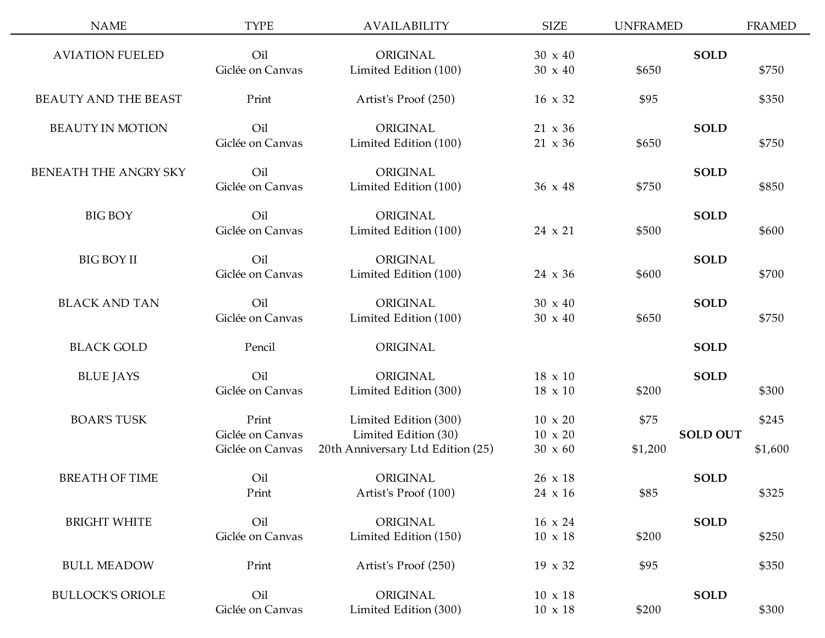| <b>NAME</b>                  | <b>TYPE</b>      | <b>AVAILABILITY</b>               | <b>SIZE</b>    | <b>UNFRAMED</b> |                 | <b>FRAMED</b> |
|------------------------------|------------------|-----------------------------------|----------------|-----------------|-----------------|---------------|
| <b>AVIATION FUELED</b>       | Oil              | ORIGINAL                          | $30 \times 40$ |                 | <b>SOLD</b>     |               |
|                              | Giclée on Canvas | Limited Edition (100)             | $30 \times 40$ | \$650           |                 | \$750         |
| <b>BEAUTY AND THE BEAST</b>  | Print            | Artist's Proof (250)              | $16 \times 32$ | \$95            |                 | \$350         |
| <b>BEAUTY IN MOTION</b>      | Oil              | ORIGINAL                          | $21 \times 36$ |                 | <b>SOLD</b>     |               |
|                              | Giclée on Canvas | Limited Edition (100)             | $21 \times 36$ | \$650           |                 | \$750         |
| <b>BENEATH THE ANGRY SKY</b> | Oil              | ORIGINAL                          |                |                 | <b>SOLD</b>     |               |
|                              | Giclée on Canvas | Limited Edition (100)             | $36 \times 48$ | \$750           |                 | \$850         |
| <b>BIG BOY</b>               | Oil              | ORIGINAL                          |                |                 | <b>SOLD</b>     |               |
|                              | Giclée on Canvas | Limited Edition (100)             | $24 \times 21$ | \$500           |                 | \$600         |
| <b>BIG BOY II</b>            | Oil              | ORIGINAL                          |                |                 | <b>SOLD</b>     |               |
|                              | Giclée on Canvas | Limited Edition (100)             | $24 \times 36$ | \$600           |                 | \$700         |
| <b>BLACK AND TAN</b>         | Oil              | ORIGINAL                          | $30 \times 40$ |                 | <b>SOLD</b>     |               |
|                              | Giclée on Canvas | Limited Edition (100)             | $30 \times 40$ | \$650           |                 | \$750         |
| <b>BLACK GOLD</b>            | Pencil           | ORIGINAL                          |                |                 | <b>SOLD</b>     |               |
| <b>BLUE JAYS</b>             | Oil              | ORIGINAL                          | $18 \times 10$ |                 | <b>SOLD</b>     |               |
|                              | Giclée on Canvas | Limited Edition (300)             | $18 \times 10$ | \$200           |                 | \$300         |
| <b>BOAR'S TUSK</b>           | Print            | Limited Edition (300)             | $10 \times 20$ | \$75            |                 | \$245         |
|                              | Giclée on Canvas | Limited Edition (30)              | $10 \times 20$ |                 | <b>SOLD OUT</b> |               |
|                              | Giclée on Canvas | 20th Anniversary Ltd Edition (25) | $30 \times 60$ | \$1,200         |                 | \$1,600       |
| <b>BREATH OF TIME</b>        | Oil              | ORIGINAL                          | 26 x 18        |                 | <b>SOLD</b>     |               |
|                              | Print            | Artist's Proof (100)              | $24 \times 16$ | \$85            |                 | \$325         |
| <b>BRIGHT WHITE</b>          | Oil              | ORIGINAL                          | $16 \times 24$ |                 | <b>SOLD</b>     |               |
|                              | Giclée on Canvas | Limited Edition (150)             | $10 \times 18$ | \$200           |                 | \$250         |
| <b>BULL MEADOW</b>           | Print            | Artist's Proof (250)              | $19 \times 32$ | \$95            |                 | \$350         |
| <b>BULLOCK'S ORIOLE</b>      | Oil              | ORIGINAL                          | $10 \times 18$ |                 | <b>SOLD</b>     |               |
|                              | Giclée on Canvas | Limited Edition (300)             | $10 \times 18$ | \$200           |                 | \$300         |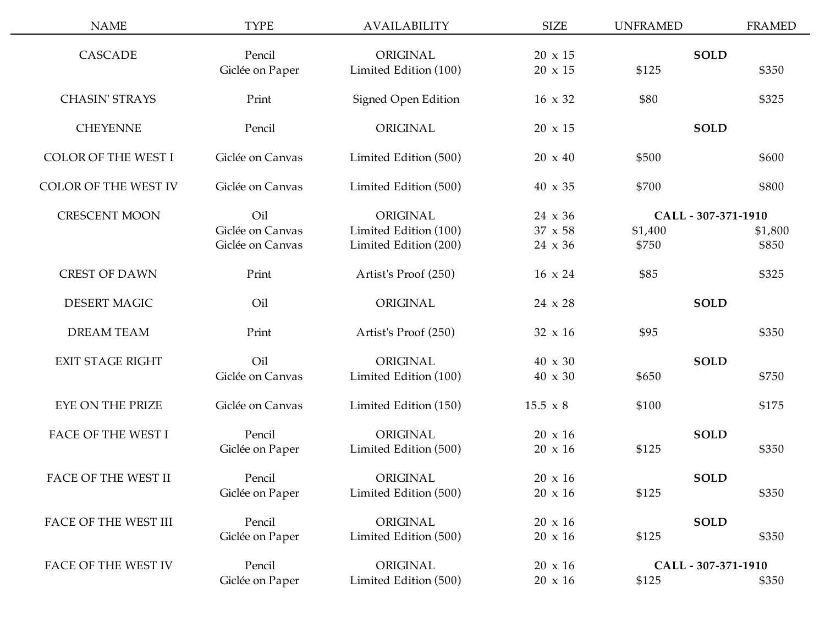| <b>NAME</b>                | <b>TYPE</b>      | <b>AVAILABILITY</b>   | <b>SIZE</b>     | <b>UNFRAMED</b>     | <b>FRAMED</b>       |  |
|----------------------------|------------------|-----------------------|-----------------|---------------------|---------------------|--|
| <b>CASCADE</b>             | Pencil           | ORIGINAL              | $20 \times 15$  | <b>SOLD</b>         |                     |  |
|                            | Giclée on Paper  | Limited Edition (100) | 20 x 15         | \$125               | \$350               |  |
|                            |                  |                       |                 |                     |                     |  |
| <b>CHASIN' STRAYS</b>      | Print            | Signed Open Edition   | $16 \times 32$  | \$80                | \$325               |  |
| <b>CHEYENNE</b>            | Pencil           | ORIGINAL              | $20 \times 15$  | <b>SOLD</b>         |                     |  |
| <b>COLOR OF THE WEST I</b> | Giclée on Canvas | Limited Edition (500) | $20 \times 40$  | \$500               | \$600               |  |
| COLOR OF THE WEST IV       | Giclée on Canvas | Limited Edition (500) | 40 x 35         | \$700               | \$800               |  |
| <b>CRESCENT MOON</b>       | Oil              | ORIGINAL              | $24 \times 36$  |                     | CALL - 307-371-1910 |  |
|                            | Giclée on Canvas | Limited Edition (100) | 37 x 58         | \$1,400             | \$1,800             |  |
|                            | Giclée on Canvas | Limited Edition (200) | 24 x 36         | \$750               | \$850               |  |
| <b>CREST OF DAWN</b>       | Print            | Artist's Proof (250)  | $16 \times 24$  | \$85                | \$325               |  |
| <b>DESERT MAGIC</b>        | Oil              | ORIGINAL              | 24 x 28         | <b>SOLD</b>         |                     |  |
| <b>DREAM TEAM</b>          | Print            | Artist's Proof (250)  | $32 \times 16$  | \$95                | \$350               |  |
| <b>EXIT STAGE RIGHT</b>    | Oil              | ORIGINAL              | 40 x 30         | <b>SOLD</b>         |                     |  |
|                            | Giclée on Canvas | Limited Edition (100) | 40 x 30         | \$650               | \$750               |  |
| EYE ON THE PRIZE           | Giclée on Canvas | Limited Edition (150) | $15.5 \times 8$ | \$100               | \$175               |  |
| <b>FACE OF THE WEST I</b>  | Pencil           | ORIGINAL              | $20 \times 16$  | <b>SOLD</b>         |                     |  |
|                            | Giclée on Paper  | Limited Edition (500) | $20 \times 16$  | \$125               | \$350               |  |
| FACE OF THE WEST II        | Pencil           | ORIGINAL              | $20 \times 16$  | <b>SOLD</b>         |                     |  |
|                            | Giclée on Paper  | Limited Edition (500) | $20 \times 16$  | \$125               | \$350               |  |
| FACE OF THE WEST III       | Pencil           | ORIGINAL              | $20 \times 16$  | <b>SOLD</b>         |                     |  |
|                            | Giclée on Paper  | Limited Edition (500) | $20 \times 16$  | \$125               | \$350               |  |
| FACE OF THE WEST IV        | Pencil           | ORIGINAL              | $20\,$ x $16\,$ | CALL - 307-371-1910 |                     |  |
|                            | Giclée on Paper  | Limited Edition (500) | $20 \times 16$  | \$125               | \$350               |  |
|                            |                  |                       |                 |                     |                     |  |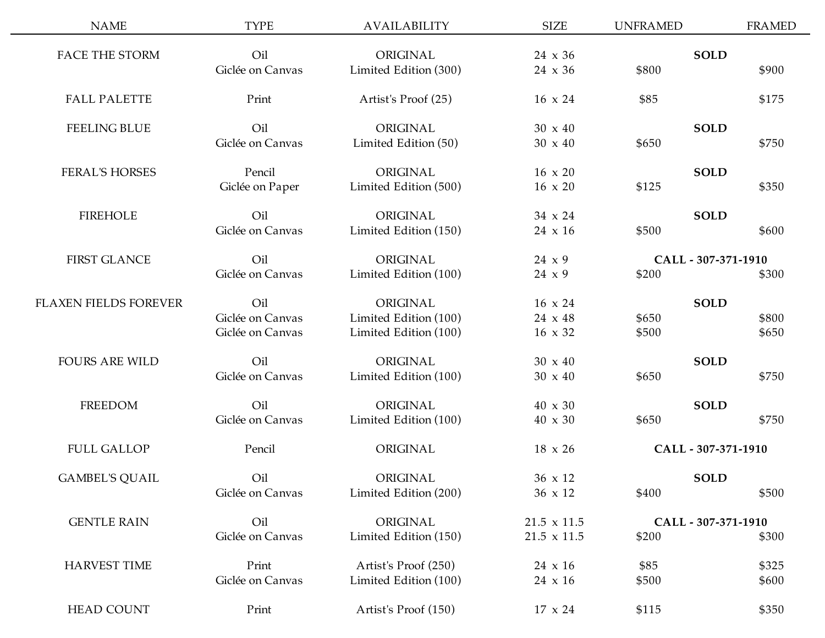| <b>NAME</b>           | <b>TYPE</b>      | <b>AVAILABILITY</b>   | <b>SIZE</b>        | <b>UNFRAMED</b> | <b>FRAMED</b>       |
|-----------------------|------------------|-----------------------|--------------------|-----------------|---------------------|
| <b>FACE THE STORM</b> | Oil              | ORIGINAL              | $24 \times 36$     |                 | <b>SOLD</b>         |
|                       | Giclée on Canvas | Limited Edition (300) | 24 x 36            | \$800           | \$900               |
| <b>FALL PALETTE</b>   | Print            | Artist's Proof (25)   | $16 \times 24$     | \$85            | \$175               |
| <b>FEELING BLUE</b>   | Oil              | ORIGINAL              | $30 \times 40$     |                 | <b>SOLD</b>         |
|                       | Giclée on Canvas | Limited Edition (50)  | $30 \times 40$     | \$650           | \$750               |
| <b>FERAL'S HORSES</b> | Pencil           | ORIGINAL              | $16 \times 20$     |                 | <b>SOLD</b>         |
|                       | Giclée on Paper  | Limited Edition (500) | $16 \times 20$     | \$125           | \$350               |
| <b>FIREHOLE</b>       | Oil              | ORIGINAL              | $34 \times 24$     |                 | <b>SOLD</b>         |
|                       | Giclée on Canvas | Limited Edition (150) | $24 \times 16$     | \$500           | \$600               |
| <b>FIRST GLANCE</b>   | Oil              | ORIGINAL              | 24 x 9             |                 | CALL - 307-371-1910 |
|                       | Giclée on Canvas | Limited Edition (100) | 24 x 9             | \$200           | \$300               |
| FLAXEN FIELDS FOREVER | Oil              | ORIGINAL              | $16 \times 24$     |                 | <b>SOLD</b>         |
|                       | Giclée on Canvas | Limited Edition (100) | $24 \times 48$     | \$650           | \$800               |
|                       | Giclée on Canvas | Limited Edition (100) | $16 \times 32$     | \$500           | \$650               |
| <b>FOURS ARE WILD</b> | Oil              | ORIGINAL              | $30 \times 40$     |                 | <b>SOLD</b>         |
|                       | Giclée on Canvas | Limited Edition (100) | $30 \times 40$     | \$650           | \$750               |
| <b>FREEDOM</b>        | Oil              | ORIGINAL              | $40 \times 30$     |                 | <b>SOLD</b>         |
|                       | Giclée on Canvas | Limited Edition (100) | 40 x 30            | \$650           | \$750               |
| <b>FULL GALLOP</b>    | Pencil           | ORIGINAL              | $18 \times 26$     |                 | CALL - 307-371-1910 |
| <b>GAMBEL'S QUAIL</b> | Oil              | ORIGINAL              | $36 \times 12$     |                 | SOLD                |
|                       | Giclée on Canvas | Limited Edition (200) | 36 x 12            | \$400           | \$500               |
| <b>GENTLE RAIN</b>    | Oil              | ORIGINAL              | $21.5 \times 11.5$ |                 | CALL - 307-371-1910 |
|                       | Giclée on Canvas | Limited Edition (150) | $21.5 \times 11.5$ | \$200           | \$300               |
| <b>HARVEST TIME</b>   | Print            | Artist's Proof (250)  | $24 \times 16$     | \$85            | \$325               |
|                       | Giclée on Canvas | Limited Edition (100) | 24 x 16            | \$500           | \$600               |
| <b>HEAD COUNT</b>     | Print            | Artist's Proof (150)  | 17 x 24            | \$115           | \$350               |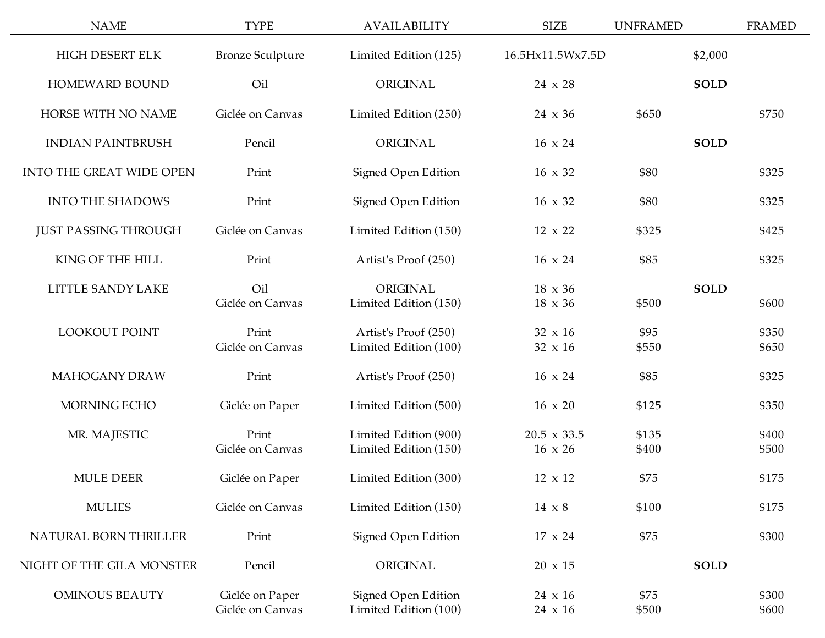| <b>NAME</b>                 | <b>TYPE</b>                         | <b>AVAILABILITY</b>                            | <b>SIZE</b>                          | <b>UNFRAMED</b> |             | <b>FRAMED</b>  |
|-----------------------------|-------------------------------------|------------------------------------------------|--------------------------------------|-----------------|-------------|----------------|
| HIGH DESERT ELK             | <b>Bronze Sculpture</b>             | Limited Edition (125)                          | 16.5Hx11.5Wx7.5D                     |                 | \$2,000     |                |
| HOMEWARD BOUND              | Oil                                 | ORIGINAL                                       | 24 x 28                              |                 | <b>SOLD</b> |                |
| HORSE WITH NO NAME          | Giclée on Canvas                    | Limited Edition (250)                          | $24 \times 36$                       | \$650           |             | \$750          |
| <b>INDIAN PAINTBRUSH</b>    | Pencil                              | ORIGINAL                                       | $16 \times 24$                       |                 | <b>SOLD</b> |                |
| INTO THE GREAT WIDE OPEN    | Print                               | Signed Open Edition                            | 16 x 32                              | \$80            |             | \$325          |
| <b>INTO THE SHADOWS</b>     | Print                               | <b>Signed Open Edition</b>                     | $16 \times 32$                       | \$80            |             | \$325          |
| <b>JUST PASSING THROUGH</b> | Giclée on Canvas                    | Limited Edition (150)                          | $12 \times 22$                       | \$325           |             | \$425          |
| KING OF THE HILL            | Print                               | Artist's Proof (250)                           | $16 \times 24$                       | \$85            |             | \$325          |
| LITTLE SANDY LAKE           | Oil<br>Giclée on Canvas             | ORIGINAL<br>Limited Edition (150)              | $18 \times 36$<br>$18 \times 36$     | \$500           | <b>SOLD</b> | \$600          |
| <b>LOOKOUT POINT</b>        | Print<br>Giclée on Canvas           | Artist's Proof (250)<br>Limited Edition (100)  | $32 \times 16$<br>$32 \times 16$     | \$95<br>\$550   |             | \$350<br>\$650 |
| MAHOGANY DRAW               | Print                               | Artist's Proof (250)                           | $16 \times 24$                       | \$85            |             | \$325          |
| MORNING ECHO                | Giclée on Paper                     | Limited Edition (500)                          | $16 \times 20$                       | \$125           |             | \$350          |
| MR. MAJESTIC                | Print<br>Giclée on Canvas           | Limited Edition (900)<br>Limited Edition (150) | $20.5 \times 33.5$<br>$16 \times 26$ | \$135<br>\$400  |             | \$400<br>\$500 |
| <b>MULE DEER</b>            | Giclée on Paper                     | Limited Edition (300)                          | 12 x 12                              | \$75            |             | \$175          |
| <b>MULIES</b>               | Giclée on Canvas                    | Limited Edition (150)                          | 14 x 8                               | \$100           |             | \$175          |
| NATURAL BORN THRILLER       | Print                               | <b>Signed Open Edition</b>                     | $17 \times 24$                       | \$75            |             | \$300          |
| NIGHT OF THE GILA MONSTER   | Pencil                              | ORIGINAL                                       | $20 \times 15$                       |                 | <b>SOLD</b> |                |
| <b>OMINOUS BEAUTY</b>       | Giclée on Paper<br>Giclée on Canvas | Signed Open Edition<br>Limited Edition (100)   | $24 \times 16$<br>24 x 16            | \$75<br>\$500   |             | \$300<br>\$600 |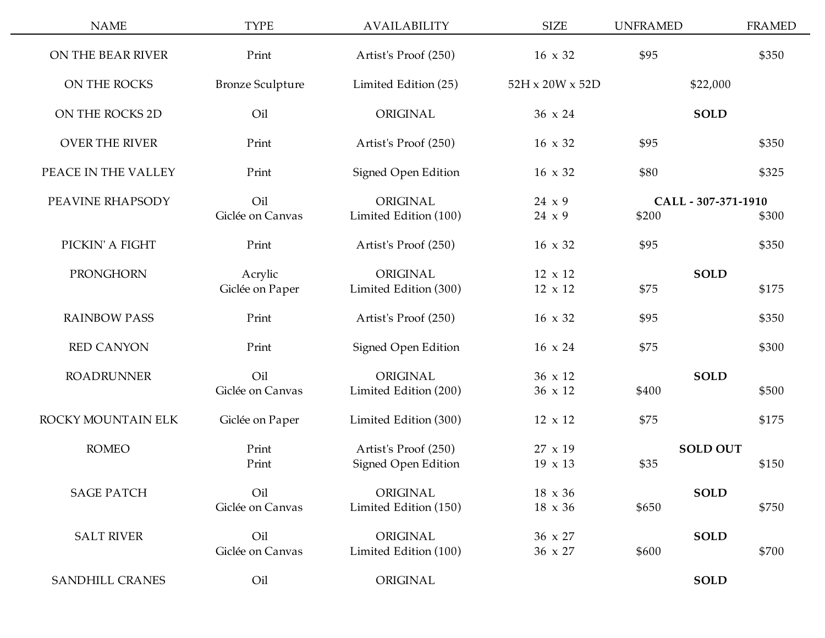| <b>NAME</b>           | <b>TYPE</b>                | <b>AVAILABILITY</b>                                | <b>SIZE</b>                      | <b>UNFRAMED</b> | <b>FRAMED</b>                |
|-----------------------|----------------------------|----------------------------------------------------|----------------------------------|-----------------|------------------------------|
| ON THE BEAR RIVER     | Print                      | Artist's Proof (250)                               | 16 x 32                          | \$95            | \$350                        |
| ON THE ROCKS          | <b>Bronze Sculpture</b>    | Limited Edition (25)                               | 52H x 20W x 52D                  |                 | \$22,000                     |
| ON THE ROCKS 2D       | Oil                        | ORIGINAL                                           | 36 x 24                          |                 | <b>SOLD</b>                  |
| <b>OVER THE RIVER</b> | Print                      | Artist's Proof (250)                               | $16 \times 32$                   | \$95            | \$350                        |
| PEACE IN THE VALLEY   | Print                      | Signed Open Edition                                | $16 \times 32$                   | \$80            | \$325                        |
| PEAVINE RHAPSODY      | Oil<br>Giclée on Canvas    | ORIGINAL<br>Limited Edition (100)                  | 24 x 9<br>$24 \times 9$          | \$200           | CALL - 307-371-1910<br>\$300 |
| PICKIN' A FIGHT       | Print                      | Artist's Proof (250)                               | 16 x 32                          | \$95            | \$350                        |
| PRONGHORN             | Acrylic<br>Giclée on Paper | ORIGINAL<br>Limited Edition (300)                  | $12 \times 12$<br>12 x 12        | \$75            | <b>SOLD</b><br>\$175         |
| <b>RAINBOW PASS</b>   | Print                      | Artist's Proof (250)                               | $16 \times 32$                   | \$95            | \$350                        |
| <b>RED CANYON</b>     | Print                      | Signed Open Edition                                | $16 \times 24$                   | \$75            | \$300                        |
| <b>ROADRUNNER</b>     | Oil<br>Giclée on Canvas    | ORIGINAL<br>Limited Edition (200)                  | 36 x 12<br>36 x 12               | \$400           | <b>SOLD</b><br>\$500         |
| ROCKY MOUNTAIN ELK    | Giclée on Paper            | Limited Edition (300)                              | $12 \times 12$                   | \$75            | \$175                        |
| <b>ROMEO</b>          | Print<br>Print             | Artist's Proof (250)<br><b>Signed Open Edition</b> | $27 \times 19$<br>19 x 13        | \$35            | <b>SOLD OUT</b><br>\$150     |
| <b>SAGE PATCH</b>     | Oil<br>Giclée on Canvas    | ORIGINAL<br>Limited Edition (150)                  | $18 \times 36$<br>$18 \times 36$ | \$650           | <b>SOLD</b><br>\$750         |
| <b>SALT RIVER</b>     | Oil<br>Giclée on Canvas    | ORIGINAL<br>Limited Edition (100)                  | 36 x 27<br>36 x 27               | \$600           | <b>SOLD</b><br>\$700         |
| SANDHILL CRANES       | Oil                        | ORIGINAL                                           |                                  |                 | <b>SOLD</b>                  |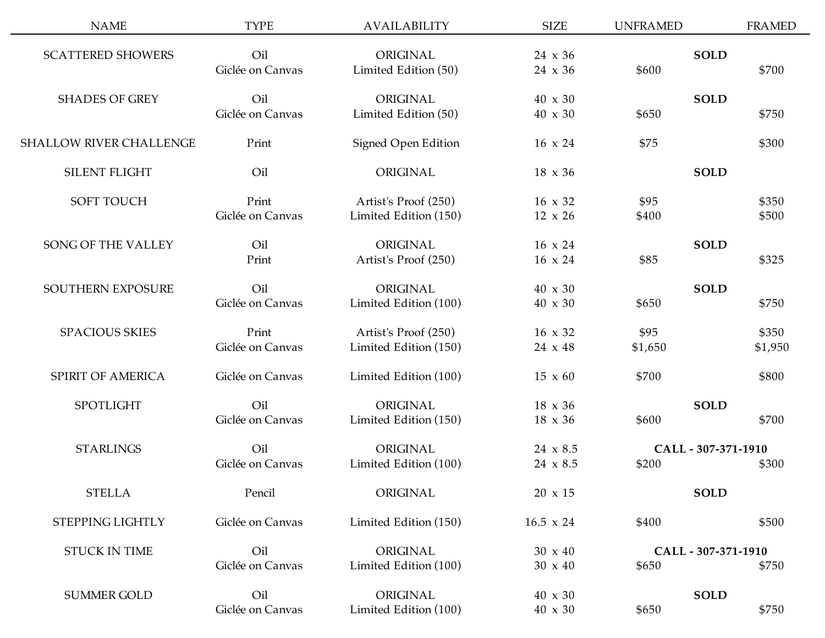| <b>NAME</b>                    | <b>TYPE</b>      | AVAILABILITY          | <b>SIZE</b>      | <b>UNFRAMED</b> |                     | <b>FRAMED</b> |
|--------------------------------|------------------|-----------------------|------------------|-----------------|---------------------|---------------|
| <b>SCATTERED SHOWERS</b>       | Oil              | ORIGINAL              | $24 \times 36$   |                 | <b>SOLD</b>         |               |
|                                | Giclée on Canvas | Limited Edition (50)  | $24 \times 36$   | \$600           |                     | \$700         |
| <b>SHADES OF GREY</b>          | Oil              | ORIGINAL              | $40 \times 30$   |                 | <b>SOLD</b>         |               |
|                                | Giclée on Canvas | Limited Edition (50)  | 40 x 30          | \$650           |                     | \$750         |
| <b>SHALLOW RIVER CHALLENGE</b> | Print            | Signed Open Edition   | $16 \times 24$   | \$75            |                     | \$300         |
| <b>SILENT FLIGHT</b>           | Oil              | ORIGINAL              | $18 \times 36$   |                 | <b>SOLD</b>         |               |
| <b>SOFT TOUCH</b>              | Print            | Artist's Proof (250)  | $16 \times 32$   | \$95            |                     | \$350         |
|                                | Giclée on Canvas | Limited Edition (150) | $12 \times 26$   | \$400           |                     | \$500         |
| SONG OF THE VALLEY             | Oil              | ORIGINAL              | $16 \times 24$   |                 | <b>SOLD</b>         |               |
|                                | Print            | Artist's Proof (250)  | $16 \times 24$   | \$85            |                     | \$325         |
| SOUTHERN EXPOSURE              | Oil              | ORIGINAL              | $40 \times 30$   |                 | <b>SOLD</b>         |               |
|                                | Giclée on Canvas | Limited Edition (100) | 40 x 30          | \$650           |                     | \$750         |
| <b>SPACIOUS SKIES</b>          | Print            | Artist's Proof (250)  | $16 \times 32$   | \$95            |                     | \$350         |
|                                | Giclée on Canvas | Limited Edition (150) | 24 x 48          | \$1,650         |                     | \$1,950       |
| SPIRIT OF AMERICA              | Giclée on Canvas | Limited Edition (100) | $15 \times 60$   | \$700           |                     | \$800         |
| <b>SPOTLIGHT</b>               | Oil              | ORIGINAL              | $18 \times 36$   |                 | <b>SOLD</b>         |               |
|                                | Giclée on Canvas | Limited Edition (150) | 18 x 36          | \$600           |                     | \$700         |
| <b>STARLINGS</b>               | Oil              | ORIGINAL              | $24 \times 8.5$  |                 | CALL - 307-371-1910 |               |
|                                | Giclée on Canvas | Limited Edition (100) | $24 \times 8.5$  | \$200           |                     | \$300         |
| <b>STELLA</b>                  | Pencil           | ORIGINAL              | $20 \times 15$   |                 | <b>SOLD</b>         |               |
| STEPPING LIGHTLY               | Giclée on Canvas | Limited Edition (150) | $16.5 \times 24$ | \$400           |                     | \$500         |
| <b>STUCK IN TIME</b>           | Oil              | ORIGINAL              | $30 \times 40$   |                 | CALL - 307-371-1910 |               |
|                                | Giclée on Canvas | Limited Edition (100) | $30 \times 40$   | \$650           |                     | \$750         |
| <b>SUMMER GOLD</b>             | Oil              | ORIGINAL              | $40 \times 30$   |                 | <b>SOLD</b>         |               |
|                                | Giclée on Canvas | Limited Edition (100) | 40 x 30          | \$650           |                     | \$750         |
|                                |                  |                       |                  |                 |                     |               |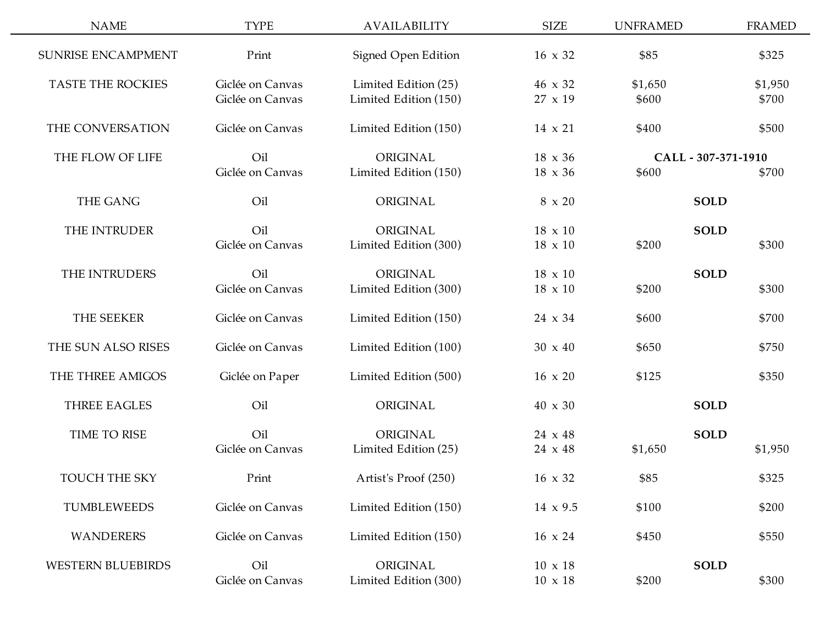| <b>NAME</b>              | <b>TYPE</b>                          | <b>AVAILABILITY</b>                           | <b>SIZE</b>                      | <b>UNFRAMED</b>  |                     | <b>FRAMED</b>    |
|--------------------------|--------------------------------------|-----------------------------------------------|----------------------------------|------------------|---------------------|------------------|
| SUNRISE ENCAMPMENT       | Print                                | Signed Open Edition                           | $16 \times 32$                   | \$85             |                     | \$325            |
| <b>TASTE THE ROCKIES</b> | Giclée on Canvas<br>Giclée on Canvas | Limited Edition (25)<br>Limited Edition (150) | 46 x 32<br>27 x 19               | \$1,650<br>\$600 |                     | \$1,950<br>\$700 |
| THE CONVERSATION         | Giclée on Canvas                     | Limited Edition (150)                         | $14 \times 21$                   | \$400            |                     | \$500            |
| THE FLOW OF LIFE         | Oil                                  | ORIGINAL                                      | $18 \times 36$                   |                  | CALL - 307-371-1910 |                  |
| <b>THE GANG</b>          | Giclée on Canvas<br>Oil              | Limited Edition (150)<br>ORIGINAL             | $18 \times 36$<br>8 x 20         | \$600            | <b>SOLD</b>         | \$700            |
| THE INTRUDER             | Oil                                  | ORIGINAL                                      | $18 \times 10$                   |                  | <b>SOLD</b>         |                  |
|                          | Giclée on Canvas                     | Limited Edition (300)                         | $18 \times 10$                   | \$200            |                     | \$300            |
| THE INTRUDERS            | Oil<br>Giclée on Canvas              | ORIGINAL<br>Limited Edition (300)             | $18 \times 10$<br>$18 \times 10$ | \$200            | <b>SOLD</b>         | \$300            |
| THE SEEKER               | Giclée on Canvas                     | Limited Edition (150)                         | 24 x 34                          | \$600            |                     | \$700            |
| THE SUN ALSO RISES       | Giclée on Canvas                     | Limited Edition (100)                         | $30 \times 40$                   | \$650            |                     | \$750            |
| THE THREE AMIGOS         | Giclée on Paper                      | Limited Edition (500)                         | $16 \times 20$                   | \$125            |                     | \$350            |
| <b>THREE EAGLES</b>      | Oil                                  | ORIGINAL                                      | 40 x 30                          |                  | <b>SOLD</b>         |                  |
| TIME TO RISE             | Oil<br>Giclée on Canvas              | ORIGINAL<br>Limited Edition (25)              | 24 x 48<br>24 x 48               | \$1,650          | <b>SOLD</b>         | \$1,950          |
| <b>TOUCH THE SKY</b>     | Print                                | Artist's Proof (250)                          | $16 \times 32$                   | \$85             |                     | \$325            |
| <b>TUMBLEWEEDS</b>       | Giclée on Canvas                     | Limited Edition (150)                         | $14 \times 9.5$                  | \$100            |                     | \$200            |
| <b>WANDERERS</b>         | Giclée on Canvas                     | Limited Edition (150)                         | $16 \times 24$                   | \$450            |                     | \$550            |
| <b>WESTERN BLUEBIRDS</b> | Oil<br>Giclée on Canvas              | ORIGINAL<br>Limited Edition (300)             | $10 \times 18$<br>$10 \times 18$ | \$200            | <b>SOLD</b>         | \$300            |